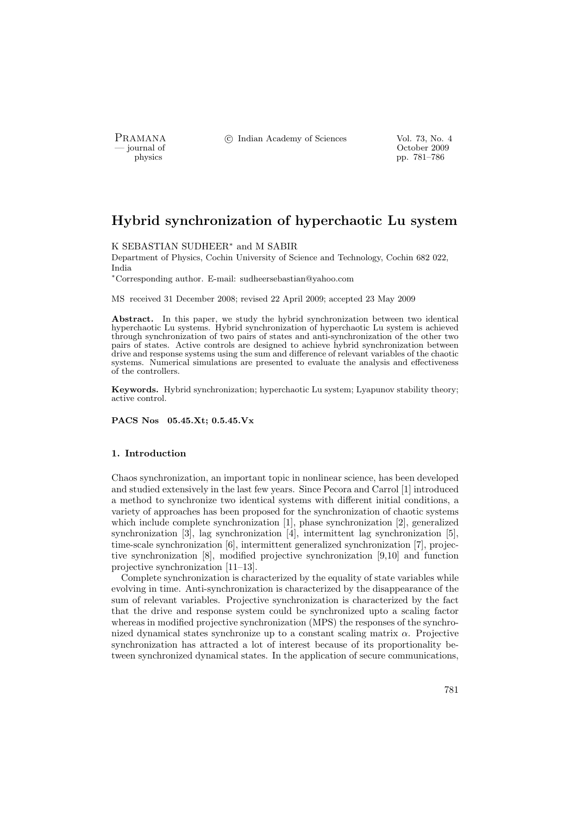PRAMANA <sup>©</sup>© Indian Academy of Sciences Vol. 73, No. 4<br>
— journal of Cortober 2009

physics and the contract of the contract of the contract of the contract of the contract of the contract of the contract of the contract of the contract of the contract of the contract of the contract of the contract of th pp. 781–786

# Hybrid synchronization of hyperchaotic Lu system

#### K SEBASTIAN SUDHEER<sup>∗</sup> and M SABIR

Department of Physics, Cochin University of Science and Technology, Cochin 682 022, India

<sup>∗</sup>Corresponding author. E-mail: sudheersebastian@yahoo.com

MS received 31 December 2008; revised 22 April 2009; accepted 23 May 2009

Abstract. In this paper, we study the hybrid synchronization between two identical hyperchaotic Lu systems. Hybrid synchronization of hyperchaotic Lu system is achieved through synchronization of two pairs of states and anti-synchronization of the other two pairs of states. Active controls are designed to achieve hybrid synchronization between drive and response systems using the sum and difference of relevant variables of the chaotic systems. Numerical simulations are presented to evaluate the analysis and effectiveness of the controllers.

Keywords. Hybrid synchronization; hyperchaotic Lu system; Lyapunov stability theory; active control.

PACS Nos 05.45.Xt; 0.5.45.Vx

#### 1. Introduction

Chaos synchronization, an important topic in nonlinear science, has been developed and studied extensively in the last few years. Since Pecora and Carrol [1] introduced a method to synchronize two identical systems with different initial conditions, a variety of approaches has been proposed for the synchronization of chaotic systems which include complete synchronization [1], phase synchronization [2], generalized synchronization [3], lag synchronization [4], intermittent lag synchronization [5], time-scale synchronization [6], intermittent generalized synchronization [7], projective synchronization [8], modified projective synchronization [9,10] and function projective synchronization [11–13].

Complete synchronization is characterized by the equality of state variables while evolving in time. Anti-synchronization is characterized by the disappearance of the sum of relevant variables. Projective synchronization is characterized by the fact that the drive and response system could be synchronized upto a scaling factor whereas in modified projective synchronization (MPS) the responses of the synchronized dynamical states synchronize up to a constant scaling matrix  $\alpha$ . Projective synchronization has attracted a lot of interest because of its proportionality between synchronized dynamical states. In the application of secure communications,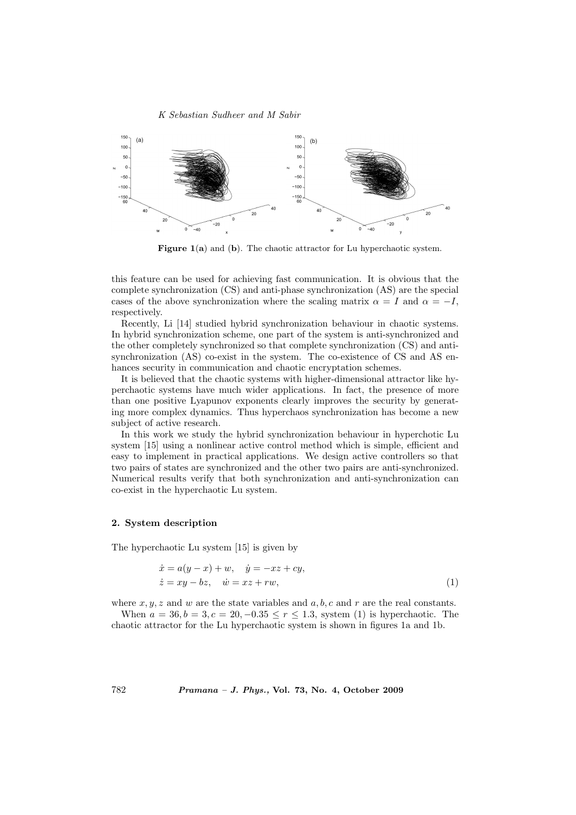#### K Sebastian Sudheer and M Sabir



**Figure 1(a)** and  $(b)$ . The chaotic attractor for Lu hyperchaotic system.

this feature can be used for achieving fast communication. It is obvious that the complete synchronization (CS) and anti-phase synchronization (AS) are the special cases of the above synchronization where the scaling matrix  $\alpha = I$  and  $\alpha = -I$ , respectively.

Recently, Li [14] studied hybrid synchronization behaviour in chaotic systems. In hybrid synchronization scheme, one part of the system is anti-synchronized and the other completely synchronized so that complete synchronization (CS) and antisynchronization (AS) co-exist in the system. The co-existence of CS and AS enhances security in communication and chaotic encryptation schemes.

It is believed that the chaotic systems with higher-dimensional attractor like hyperchaotic systems have much wider applications. In fact, the presence of more than one positive Lyapunov exponents clearly improves the security by generating more complex dynamics. Thus hyperchaos synchronization has become a new subject of active research.

In this work we study the hybrid synchronization behaviour in hyperchotic Lu system [15] using a nonlinear active control method which is simple, efficient and easy to implement in practical applications. We design active controllers so that two pairs of states are synchronized and the other two pairs are anti-synchronized. Numerical results verify that both synchronization and anti-synchronization can co-exist in the hyperchaotic Lu system.

## 2. System description

The hyperchaotic Lu system [15] is given by

$$
\begin{aligned}\n\dot{x} &= a(y - x) + w, \quad \dot{y} = -xz + cy, \\
\dot{z} &= xy - bz, \quad \dot{w} = xz + rw,\n\end{aligned} \tag{1}
$$

where x,  $y, z$  and w are the state variables and a, b, c and r are the real constants.

When  $a = 36, b = 3, c = 20, -0.35 \le r \le 1.3$ , system (1) is hyperchaotic. The chaotic attractor for the Lu hyperchaotic system is shown in figures 1a and 1b.

782 Pramana – J. Phys., Vol. 73, No. 4, October 2009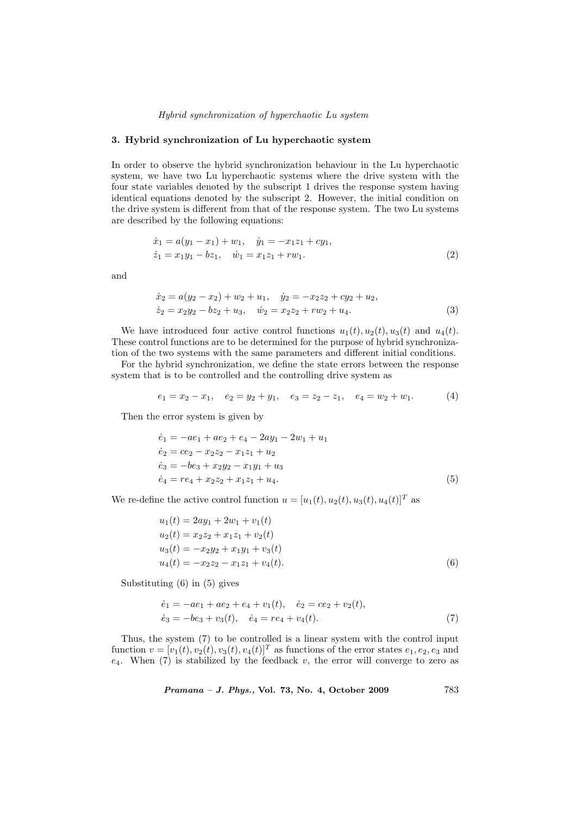#### Hybrid synchronization of hyperchaotic Lu system

## 3. Hybrid synchronization of Lu hyperchaotic system

In order to observe the hybrid synchronization behaviour in the Lu hyperchaotic system, we have two Lu hyperchaotic systems where the drive system with the four state variables denoted by the subscript 1 drives the response system having identical equations denoted by the subscript 2. However, the initial condition on the drive system is different from that of the response system. The two Lu systems are described by the following equations:

$$
\begin{aligned}\n\dot{x}_1 &= a(y_1 - x_1) + w_1, \quad \dot{y}_1 = -x_1 z_1 + c y_1, \\
\dot{z}_1 &= x_1 y_1 - b z_1, \quad \dot{w}_1 = x_1 z_1 + r w_1.\n\end{aligned} \tag{2}
$$

and

$$
\begin{aligned}\n\dot{x}_2 &= a(y_2 - x_2) + w_2 + u_1, \quad \dot{y}_2 = -x_2 z_2 + c y_2 + u_2, \\
\dot{z}_2 &= x_2 y_2 - b z_2 + u_3, \quad \dot{w}_2 = x_2 z_2 + r w_2 + u_4.\n\end{aligned} \tag{3}
$$

We have introduced four active control functions  $u_1(t)$ ,  $u_2(t)$ ,  $u_3(t)$  and  $u_4(t)$ . These control functions are to be determined for the purpose of hybrid synchronization of the two systems with the same parameters and different initial conditions.

For the hybrid synchronization, we define the state errors between the response system that is to be controlled and the controlling drive system as

$$
e_1 = x_2 - x_1, \quad e_2 = y_2 + y_1, \quad e_3 = z_2 - z_1, \quad e_4 = w_2 + w_1. \tag{4}
$$

Then the error system is given by

$$
\begin{aligned}\n\dot{e}_1 &= -ae_1 + ae_2 + e_4 - 2ay_1 - 2w_1 + u_1 \\
\dot{e}_2 &= ce_2 - x_2z_2 - x_1z_1 + u_2 \\
\dot{e}_3 &= -be_3 + x_2y_2 - x_1y_1 + u_3 \\
\dot{e}_4 &= re_4 + x_2z_2 + x_1z_1 + u_4.\n\end{aligned} \tag{5}
$$

We re-define the active control function  $u = [u_1(t), u_2(t), u_3(t), u_4(t)]^T$  as

$$
u_1(t) = 2ay_1 + 2w_1 + v_1(t)
$$
  
\n
$$
u_2(t) = x_2z_2 + x_1z_1 + v_2(t)
$$
  
\n
$$
u_3(t) = -x_2y_2 + x_1y_1 + v_3(t)
$$
  
\n
$$
u_4(t) = -x_2z_2 - x_1z_1 + v_4(t).
$$
\n(6)

Substituting (6) in (5) gives

$$
\begin{aligned}\n\dot{e}_1 &= -ae_1 + ae_2 + e_4 + v_1(t), \quad \dot{e}_2 = ce_2 + v_2(t), \\
\dot{e}_3 &= -be_3 + v_3(t), \quad \dot{e}_4 = re_4 + v_4(t).\n\end{aligned} \tag{7}
$$

Thus, the system (7) to be controlled is a linear system with the control input function  $v = [v_1(t), v_2(t), v_3(t), v_4(t)]^T$  as functions of the error states  $e_1, e_2, e_3$  and  $e_4$ . When (7) is stabilized by the feedback v, the error will converge to zero as

Pramana – J. Phys., Vol. 73, No. 4, October 2009 783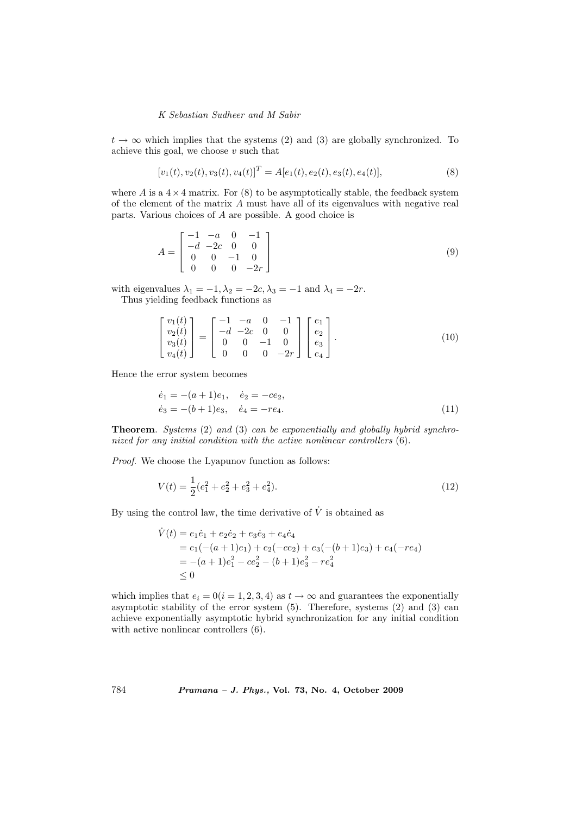## K Sebastian Sudheer and M Sabir

 $t \to \infty$  which implies that the systems (2) and (3) are globally synchronized. To achieve this goal, we choose  $v$  such that

$$
[v_1(t), v_2(t), v_3(t), v_4(t)]^T = A[e_1(t), e_2(t), e_3(t), e_4(t)],
$$
\n(8)

where A is a  $4 \times 4$  matrix. For (8) to be asymptotically stable, the feedback system of the element of the matrix A must have all of its eigenvalues with negative real parts. Various choices of A are possible. A good choice is

$$
A = \begin{bmatrix} -1 & -a & 0 & -1 \\ -d & -2c & 0 & 0 \\ 0 & 0 & -1 & 0 \\ 0 & 0 & 0 & -2r \end{bmatrix} \tag{9}
$$

with eigenvalues  $\lambda_1 = -1, \lambda_2 = -2c, \lambda_3 = -1$  and  $\lambda_4 = -2r$ . Thus yielding feedback functions as

$$
\begin{bmatrix} v_1(t) \\ v_2(t) \\ v_3(t) \\ v_4(t) \end{bmatrix} = \begin{bmatrix} -1 & -a & 0 & -1 \\ -d & -2c & 0 & 0 \\ 0 & 0 & -1 & 0 \\ 0 & 0 & 0 & -2r \end{bmatrix} \begin{bmatrix} e_1 \\ e_2 \\ e_3 \\ e_4 \end{bmatrix}.
$$
 (10)

Hence the error system becomes

$$
\begin{aligned}\n\dot{e}_1 &= -(a+1)e_1, & \dot{e}_2 &= -ce_2, \\
\dot{e}_3 &= -(b+1)e_3, & \dot{e}_4 &= -re_4.\n\end{aligned} \tag{11}
$$

Theorem. Systems (2) and (3) can be exponentially and globally hybrid synchronized for any initial condition with the active nonlinear controllers (6).

Proof. We choose the Lyapunov function as follows:

$$
V(t) = \frac{1}{2}(e_1^2 + e_2^2 + e_3^2 + e_4^2). \tag{12}
$$

By using the control law, the time derivative of  $\dot{V}$  is obtained as

$$
\dot{V}(t) = e_1 \dot{e}_1 + e_2 \dot{e}_2 + e_3 \dot{e}_3 + e_4 \dot{e}_4
$$
  
=  $e_1(-(a+1)e_1) + e_2(-ce_2) + e_3(-(b+1)e_3) + e_4(-re_4)$   
=  $-(a+1)e_1^2 - ce_2^2 - (b+1)e_3^2 - re_4^2$   
 $\leq 0$ 

which implies that  $e_i = 0(i = 1, 2, 3, 4)$  as  $t \to \infty$  and guarantees the exponentially asymptotic stability of the error system (5). Therefore, systems (2) and (3) can achieve exponentially asymptotic hybrid synchronization for any initial condition with active nonlinear controllers (6).

784 Pramana – J. Phys., Vol. 73, No. 4, October 2009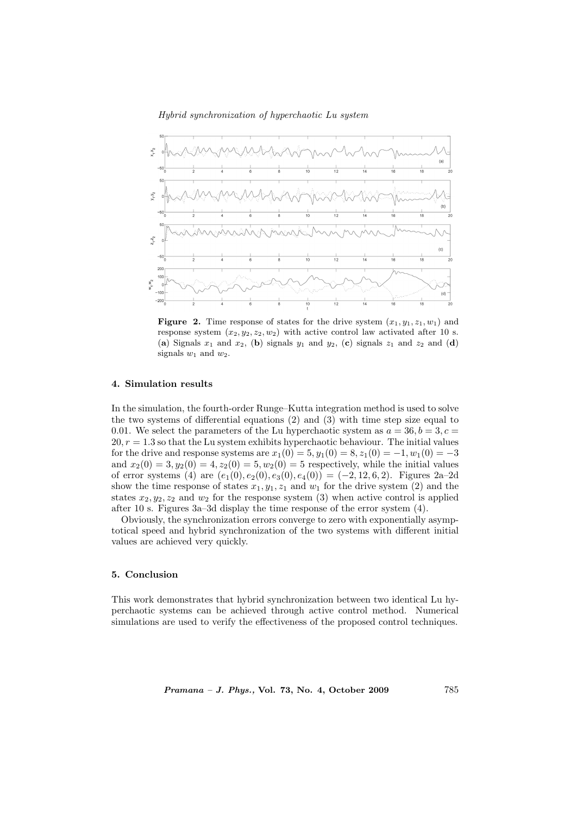### Hybrid synchronization of hyperchaotic Lu system



Figure 2. Time response of states for the drive system  $(x_1, y_1, z_1, w_1)$  and response system  $(x_2, y_2, z_2, w_2)$  with active control law activated after 10 s. (a) Signals  $x_1$  and  $x_2$ , (b) signals  $y_1$  and  $y_2$ , (c) signals  $z_1$  and  $z_2$  and (d) signals  $w_1$  and  $w_2$ .

## 4. Simulation results

In the simulation, the fourth-order Runge–Kutta integration method is used to solve the two systems of differential equations (2) and (3) with time step size equal to 0.01. We select the parameters of the Lu hyperchaotic system as  $a = 36, b = 3, c = 1$  $20, r = 1.3$  so that the Lu system exhibits hyperchaotic behaviour. The initial values for the drive and response systems are  $x_1(0) = 5, y_1(0) = 8, z_1(0) = -1, w_1(0) = -3$ and  $x_2(0) = 3, y_2(0) = 4, z_2(0) = 5, w_2(0) = 5$  respectively, while the initial values of error systems (4) are  $(e_1(0), e_2(0), e_3(0), e_4(0)) = (-2, 12, 6, 2)$ . Figures 2a–2d show the time response of states  $x_1, y_1, z_1$  and  $w_1$  for the drive system (2) and the states  $x_2, y_2, z_2$  and  $w_2$  for the response system (3) when active control is applied after 10 s. Figures 3a–3d display the time response of the error system (4).

Obviously, the synchronization errors converge to zero with exponentially asymptotical speed and hybrid synchronization of the two systems with different initial values are achieved very quickly.

### 5. Conclusion

This work demonstrates that hybrid synchronization between two identical Lu hyperchaotic systems can be achieved through active control method. Numerical simulations are used to verify the effectiveness of the proposed control techniques.

Pramana – J. Phys., Vol. 73, No. 4, October 2009 785